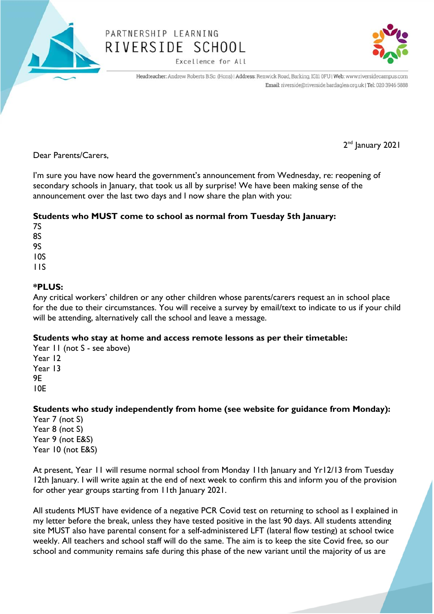

## PARTNERSHIP LEARNING RIVERSIDE SCHOOL

Excellence for All



Headteacher: Andrew Roberts B.Sc. (Hons) | Address: Renwick Road, Barking, IG11 0FU | Web: www.riversidecampus.com Email: riverside@riverside.bardaglea.org.uk | Tel: 020 3946 5888

Dear Parents/Carers,

I'm sure you have now heard the government's announcement from Wednesday, re: reopening of secondary schools in January, that took us all by surprise! We have been making sense of the announcement over the last two days and I now share the plan with you:

## **Students who MUST come to school as normal from Tuesday 5th January:**

7S 8S 9S 10S 11S

## **\*PLUS:**

Any critical workers' children or any other children whose parents/carers request an in school place for the due to their circumstances. You will receive a survey by email/text to indicate to us if your child will be attending, alternatively call the school and leave a message.

## **Students who stay at home and access remote lessons as per their timetable:**

Year II (not S - see above) Year 12 Year 13 9E 10E

**Students who study independently from home (see website for guidance from Monday):**

Year 7 (not S) Year 8 (not S) Year 9 (not E&S) Year 10 (not E&S)

At present, Year 11 will resume normal school from Monday 11th January and Yr12/13 from Tuesday 12th January. I will write again at the end of next week to confirm this and inform you of the provision for other year groups starting from 11th January 2021.

All students MUST have evidence of a negative PCR Covid test on returning to school as I explained in my letter before the break, unless they have tested positive in the last 90 days. All students attending site MUST also have parental consent for a self-administered LFT (lateral flow testing) at school twice weekly. All teachers and school staff will do the same. The aim is to keep the site Covid free, so our school and community remains safe during this phase of the new variant until the majority of us are

2<sup>nd</sup> January 2021